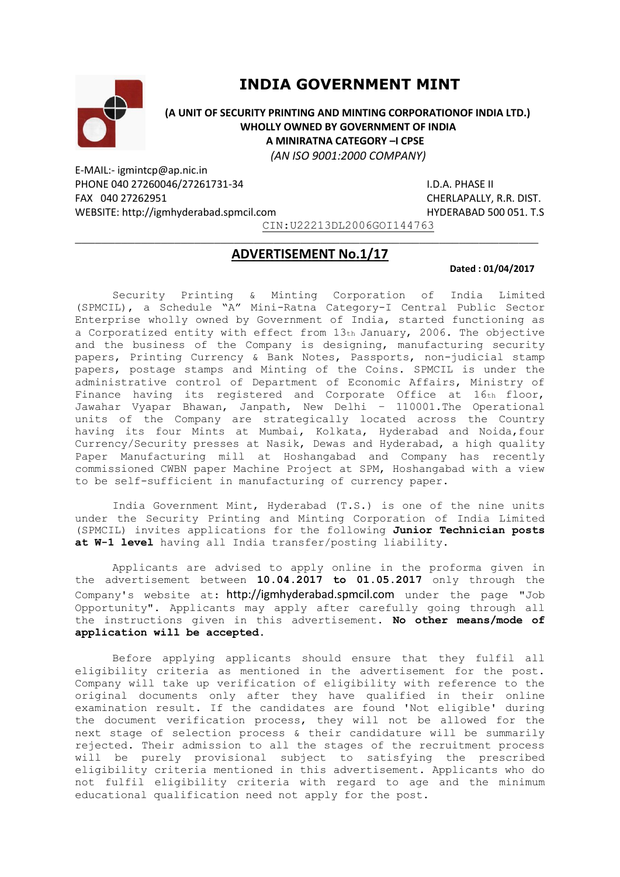

# **INDIA GOVERNMENT MINT**

 **(A UNIT OF SECURITY PRINTING AND MINTING CORPORATIONOF INDIA LTD.) WHOLLY OWNED BY GOVERNMENT OF INDIA A MINIRATNA CATEGORY –I CPSE**  *(AN ISO 9001:2000 COMPANY)*

E-MAIL:- igmintcp@ap.nic.in PHONE 040 27260046/27261731-34 I.D.A. PHASE II FAX 040 27262951 CHERLAPALLY, R.R. DIST. WEBSITE: http://igmhyderabad.spmcil.com example and HYDERABAD 500 051. T.S

CIN:U22213DL2006GOI144763

## $\_$  , and the set of the set of the set of the set of the set of the set of the set of the set of the set of the set of the set of the set of the set of the set of the set of the set of the set of the set of the set of th **ADVERTISEMENT No.1/17**

#### **Dated : 01/04/2017**

Security Printing & Minting Corporation of India Limited (SPMCIL), a Schedule "A" Mini-Ratna Category-I Central Public Sector Enterprise wholly owned by Government of India, started functioning as a Corporatized entity with effect from 13th January, 2006. The objective and the business of the Company is designing, manufacturing security papers, Printing Currency & Bank Notes, Passports, non-judicial stamp papers, postage stamps and Minting of the Coins. SPMCIL is under the administrative control of Department of Economic Affairs, Ministry of Finance having its registered and Corporate Office at 16th floor, Jawahar Vyapar Bhawan, Janpath, New Delhi – 110001.The Operational units of the Company are strategically located across the Country having its four Mints at Mumbai, Kolkata, Hyderabad and Noida,four Currency/Security presses at Nasik, Dewas and Hyderabad, a high quality Paper Manufacturing mill at Hoshangabad and Company has recently commissioned CWBN paper Machine Project at SPM, Hoshangabad with a view to be self-sufficient in manufacturing of currency paper.

India Government Mint, Hyderabad (T.S.) is one of the nine units under the Security Printing and Minting Corporation of India Limited (SPMCIL) invites applications for the following **Junior Technician posts at W-1 level** having all India transfer/posting liability.

Applicants are advised to apply online in the proforma given in the advertisement between **10.04.2017 to 01.05.2017** only through the Company's website at: http://igmhyderabad.spmcil.com under the page "Job Opportunity". Applicants may apply after carefully going through all the instructions given in this advertisement. **No other means/mode of application will be accepted.** 

Before applying applicants should ensure that they fulfil all eligibility criteria as mentioned in the advertisement for the post. Company will take up verification of eligibility with reference to the original documents only after they have qualified in their online examination result. If the candidates are found 'Not eligible' during the document verification process, they will not be allowed for the next stage of selection process & their candidature will be summarily rejected. Their admission to all the stages of the recruitment process will be purely provisional subject to satisfying the prescribed eligibility criteria mentioned in this advertisement. Applicants who do not fulfil eligibility criteria with regard to age and the minimum educational qualification need not apply for the post.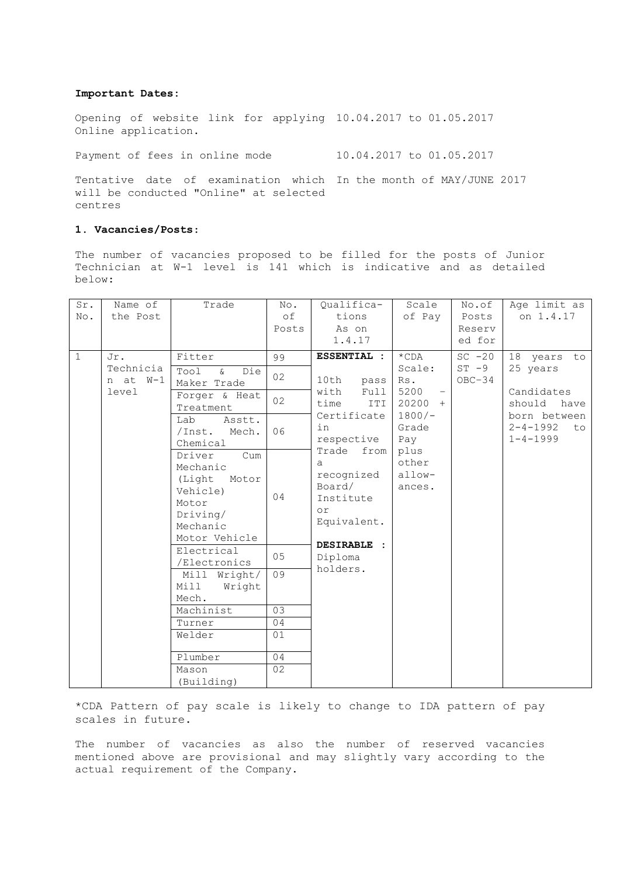#### **Important Dates:**

Opening of website link for applying 10.04.2017 to 01.05.2017 Online application.

Payment of fees in online mode 10.04.2017 to 01.05.2017

Tentative date of examination which In the month of MAY/JUNE 2017 will be conducted "Online" at selected centres

## **1. Vacancies/Posts**:

The number of vacancies proposed to be filled for the posts of Junior Technician at W-1 level is 141 which is indicative and as detailed below:

| Sr.            | Name of                               | Trade                                                                                                      | No.   | Qualifica-                                                                                  | Scale                                                                                                          | No.of                             | Age limit as                                                                                                      |
|----------------|---------------------------------------|------------------------------------------------------------------------------------------------------------|-------|---------------------------------------------------------------------------------------------|----------------------------------------------------------------------------------------------------------------|-----------------------------------|-------------------------------------------------------------------------------------------------------------------|
| No.            | the Post                              |                                                                                                            | of    | tions                                                                                       | of Pay                                                                                                         | Posts                             | on 1.4.17                                                                                                         |
|                |                                       |                                                                                                            | Posts | As on                                                                                       |                                                                                                                | Reserv                            |                                                                                                                   |
|                |                                       |                                                                                                            |       | 1.4.17                                                                                      |                                                                                                                | ed for                            |                                                                                                                   |
| $\overline{1}$ | Jr.<br>Technicia<br>n at W-1<br>level | Fitter                                                                                                     | 99    | <b>ESSENTIAL :</b>                                                                          | $*$ CDA<br>Scale:<br>Rs.<br>5200<br>$20200 +$<br>$1800/-$<br>Grade<br>Pay<br>plus<br>other<br>allow-<br>ances. | $SC - 20$<br>$ST - 9$<br>$OBC-34$ | 18 years to<br>25 years<br>Candidates<br>should<br>have<br>born between<br>$2 - 4 - 1992$<br>to<br>$1 - 4 - 1999$ |
|                |                                       | Tool<br>$\delta$<br>Die<br>Maker Trade                                                                     | 02    | 10th<br>pass                                                                                |                                                                                                                |                                   |                                                                                                                   |
|                |                                       | Forger & Heat<br>Treatment                                                                                 | 02    | with<br>Full<br>time<br>ITI<br>Certificate                                                  |                                                                                                                |                                   |                                                                                                                   |
|                |                                       | Asstt.<br>Lab<br>Mech.<br>/Inst.<br>Chemical                                                               | 06    | in<br>respective                                                                            |                                                                                                                |                                   |                                                                                                                   |
|                |                                       | Driver<br>Cum<br>Mechanic<br>(Light<br>Motor<br>Vehicle)<br>Motor<br>Driving/<br>Mechanic<br>Motor Vehicle | 04    | Trade<br>from<br>a<br>recognized<br>Board/<br>Institute<br>or<br>Equivalent.<br>DESIRABLE : |                                                                                                                |                                   |                                                                                                                   |
|                |                                       | Electrical<br>/Electronics                                                                                 | 05    | Diploma                                                                                     |                                                                                                                |                                   |                                                                                                                   |
|                |                                       | Mill Wright/<br>Mill<br>Wright                                                                             | 09    | holders.                                                                                    |                                                                                                                |                                   |                                                                                                                   |
|                |                                       | Mech.                                                                                                      |       |                                                                                             |                                                                                                                |                                   |                                                                                                                   |
|                |                                       | Machinist                                                                                                  | 03    |                                                                                             |                                                                                                                |                                   |                                                                                                                   |
|                |                                       | Turner                                                                                                     | 04    |                                                                                             |                                                                                                                |                                   |                                                                                                                   |
|                |                                       | Welder                                                                                                     | 01    |                                                                                             |                                                                                                                |                                   |                                                                                                                   |
|                |                                       | Plumber                                                                                                    | 04    |                                                                                             |                                                                                                                |                                   |                                                                                                                   |
|                |                                       | Mason<br>(Building)                                                                                        | 02    |                                                                                             |                                                                                                                |                                   |                                                                                                                   |

\*CDA Pattern of pay scale is likely to change to IDA pattern of pay scales in future.

The number of vacancies as also the number of reserved vacancies mentioned above are provisional and may slightly vary according to the actual requirement of the Company.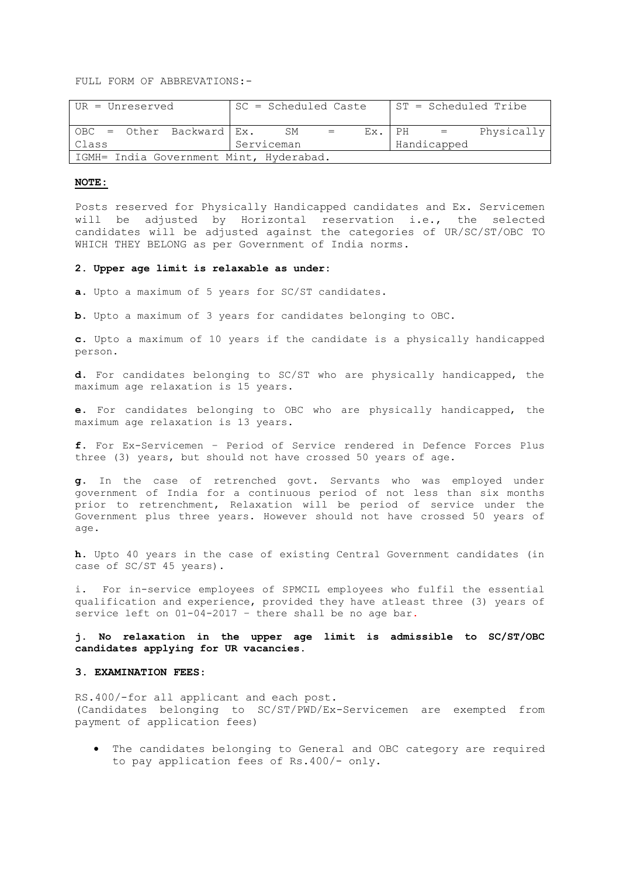FULL FORM OF ABBREVATIONS:-

| UR = Unreserved                         | SC = Scheduled Caste |  |    |     | ST = Scheduled Tribe |  |              |            |
|-----------------------------------------|----------------------|--|----|-----|----------------------|--|--------------|------------|
| $OBC = Other Background Ex.$            |                      |  | SM | $=$ |                      |  | $EX.$ PH $=$ | Physically |
| Class                                   | Serviceman           |  |    |     | Handicapped          |  |              |            |
| IGMH= India Government Mint, Hyderabad. |                      |  |    |     |                      |  |              |            |

## **NOTE:**

Posts reserved for Physically Handicapped candidates and Ex. Servicemen will be adjusted by Horizontal reservation i.e., the selected candidates will be adjusted against the categories of UR/SC/ST/OBC TO WHICH THEY BELONG as per Government of India norms.

#### **2. Upper age limit is relaxable as under:**

**a.** Upto a maximum of 5 years for SC/ST candidates.

**b.** Upto a maximum of 3 years for candidates belonging to OBC.

**c.** Upto a maximum of 10 years if the candidate is a physically handicapped person.

**d.** For candidates belonging to SC/ST who are physically handicapped, the maximum age relaxation is 15 years.

**e.** For candidates belonging to OBC who are physically handicapped, the maximum age relaxation is 13 years.

**f.** For Ex-Servicemen – Period of Service rendered in Defence Forces Plus three (3) years, but should not have crossed 50 years of age.

**g.** In the case of retrenched govt. Servants who was employed under government of India for a continuous period of not less than six months prior to retrenchment, Relaxation will be period of service under the Government plus three years. However should not have crossed 50 years of age.

**h.** Upto 40 years in the case of existing Central Government candidates (in case of SC/ST 45 years).

i. For in-service employees of SPMCIL employees who fulfil the essential qualification and experience, provided they have atleast three (3) years of service left on 01-04-2017 – there shall be no age bar.

**j. No relaxation in the upper age limit is admissible to SC/ST/OBC candidates applying for UR vacancies.** 

#### **3. EXAMINATION FEES**:

RS.400/-for all applicant and each post. (Candidates belonging to SC/ST/PWD/Ex-Servicemen are exempted from payment of application fees)

 The candidates belonging to General and OBC category are required to pay application fees of Rs.400/- only.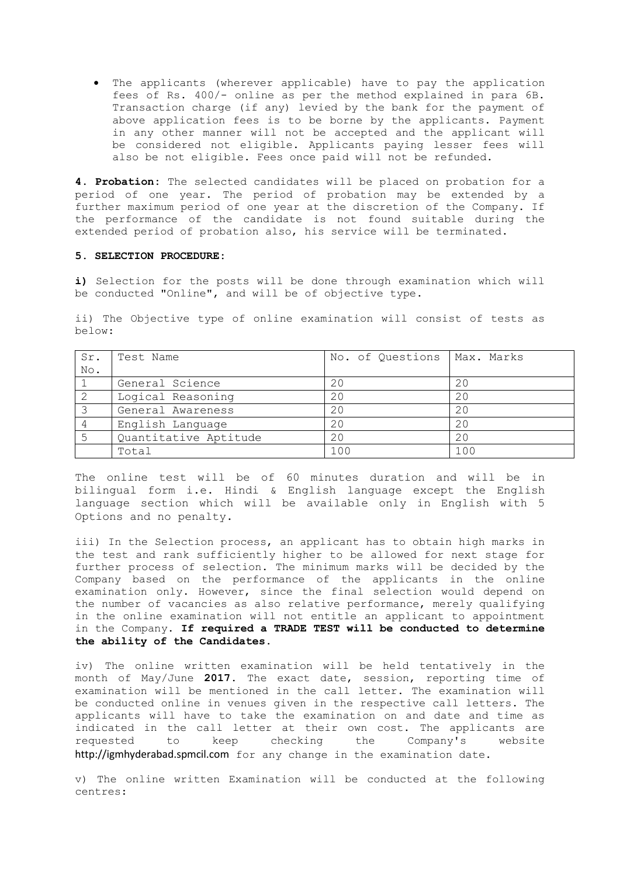The applicants (wherever applicable) have to pay the application fees of Rs. 400/- online as per the method explained in para 6B. Transaction charge (if any) levied by the bank for the payment of above application fees is to be borne by the applicants. Payment in any other manner will not be accepted and the applicant will be considered not eligible. Applicants paying lesser fees will also be not eligible. Fees once paid will not be refunded.

**4. Probation:** The selected candidates will be placed on probation for a period of one year. The period of probation may be extended by a further maximum period of one year at the discretion of the Company. If the performance of the candidate is not found suitable during the extended period of probation also, his service will be terminated.

## **5. SELECTION PROCEDURE:**

**i)** Selection for the posts will be done through examination which will be conducted "Online", and will be of objective type.

ii) The Objective type of online examination will consist of tests as below:

| Sr. | Test Name             | No. of Questions | Max. Marks |
|-----|-----------------------|------------------|------------|
| No. |                       |                  |            |
|     | General Science       | 20               | 20         |
|     | Logical Reasoning     | 20               | 20         |
|     | General Awareness     | 20               | 20         |
|     | English Language      | 20               | 20         |
| 5   | Quantitative Aptitude | 20               | 20         |
|     | Total                 | 100              | 100        |

The online test will be of 60 minutes duration and will be in bilingual form i.e. Hindi & English language except the English language section which will be available only in English with 5 Options and no penalty.

iii) In the Selection process, an applicant has to obtain high marks in the test and rank sufficiently higher to be allowed for next stage for further process of selection. The minimum marks will be decided by the Company based on the performance of the applicants in the online examination only. However, since the final selection would depend on the number of vacancies as also relative performance, merely qualifying in the online examination will not entitle an applicant to appointment in the Company. **If required a TRADE TEST will be conducted to determine the ability of the Candidates.** 

iv) The online written examination will be held tentatively in the month of May/June **2017.** The exact date, session, reporting time of examination will be mentioned in the call letter. The examination will be conducted online in venues given in the respective call letters. The applicants will have to take the examination on and date and time as indicated in the call letter at their own cost. The applicants are requested to keep checking the Company's website http://igmhyderabad.spmcil.com for any change in the examination date.

v) The online written Examination will be conducted at the following centres: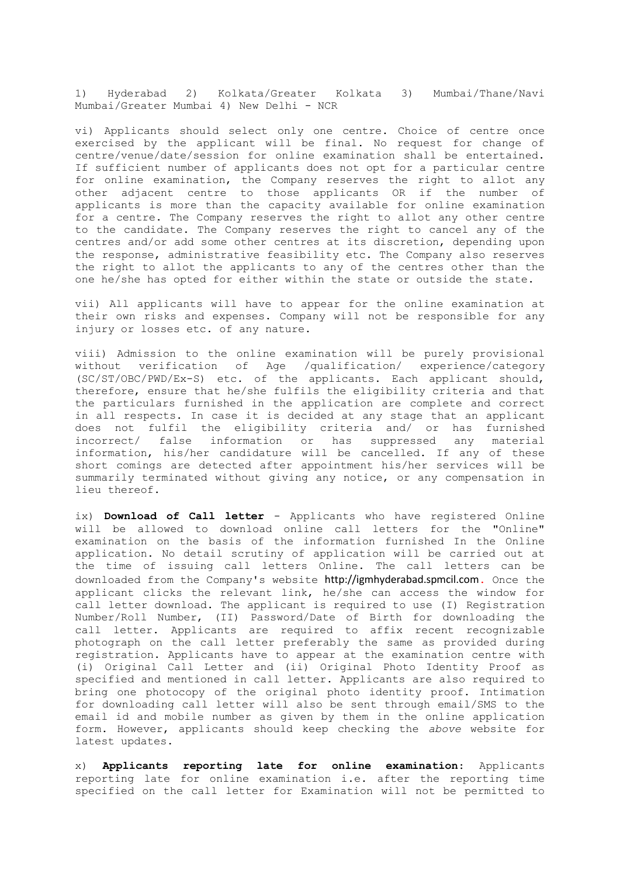1) Hyderabad 2) Kolkata/Greater Kolkata 3) Mumbai/Thane/Navi Mumbai/Greater Mumbai 4) New Delhi - NCR

vi) Applicants should select only one centre. Choice of centre once exercised by the applicant will be final. No request for change of centre/venue/date/session for online examination shall be entertained. If sufficient number of applicants does not opt for a particular centre for online examination, the Company reserves the right to allot any other adjacent centre to those applicants OR if the number of applicants is more than the capacity available for online examination for a centre. The Company reserves the right to allot any other centre to the candidate. The Company reserves the right to cancel any of the centres and/or add some other centres at its discretion, depending upon the response, administrative feasibility etc. The Company also reserves the right to allot the applicants to any of the centres other than the one he/she has opted for either within the state or outside the state.

vii) All applicants will have to appear for the online examination at their own risks and expenses. Company will not be responsible for any injury or losses etc. of any nature.

viii) Admission to the online examination will be purely provisional without verification of Age /qualification/ experience/category (SC/ST/OBC/PWD/Ex-S) etc. of the applicants. Each applicant should, therefore, ensure that he/she fulfils the eligibility criteria and that the particulars furnished in the application are complete and correct in all respects. In case it is decided at any stage that an applicant does not fulfil the eligibility criteria and/ or has furnished incorrect/ false information or has suppressed any material information, his/her candidature will be cancelled. If any of these short comings are detected after appointment his/her services will be summarily terminated without giving any notice, or any compensation in lieu thereof.

ix) **Download of Call letter** - Applicants who have registered Online will be allowed to download online call letters for the "Online" examination on the basis of the information furnished In the Online application. No detail scrutiny of application will be carried out at the time of issuing call letters Online. The call letters can be downloaded from the Company's website http://igmhyderabad.spmcil.com**.** Once the applicant clicks the relevant link, he/she can access the window for call letter download. The applicant is required to use (I) Registration Number/Roll Number, (II) Password/Date of Birth for downloading the call letter. Applicants are required to affix recent recognizable photograph on the call letter preferably the same as provided during registration. Applicants have to appear at the examination centre with (i) Original Call Letter and (ii) Original Photo Identity Proof as specified and mentioned in call letter. Applicants are also required to bring one photocopy of the original photo identity proof. Intimation for downloading call letter will also be sent through email/SMS to the email id and mobile number as given by them in the online application form. However, applicants should keep checking the *above* website for latest updates.

x) **Applicants reporting late for online examination**: Applicants reporting late for online examination i.e. after the reporting time specified on the call letter for Examination will not be permitted to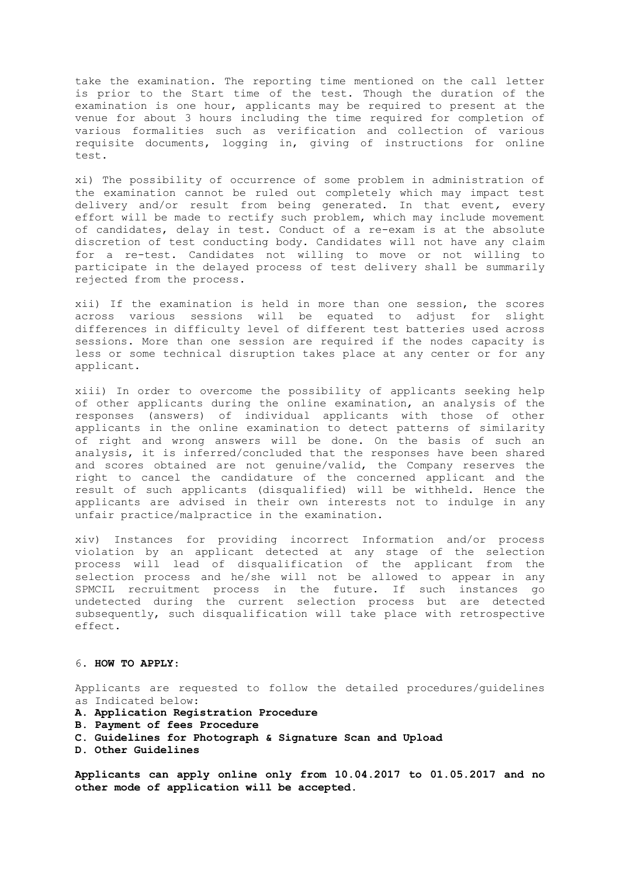take the examination. The reporting time mentioned on the call letter is prior to the Start time of the test. Though the duration of the examination is one hour, applicants may be required to present at the venue for about 3 hours including the time required for completion of various formalities such as verification and collection of various requisite documents, logging in, giving of instructions for online test.

xi) The possibility of occurrence of some problem in administration of the examination cannot be ruled out completely which may impact test delivery and/or result from being generated. In that event*,* every effort will be made to rectify such problem, which may include movement of candidates, delay in test. Conduct of a re-exam is at the absolute discretion of test conducting body. Candidates will not have any claim for a re-test. Candidates not willing to move or not willing to participate in the delayed process of test delivery shall be summarily rejected from the process.

xii) If the examination is held in more than one session, the scores across various sessions will be equated to adjust for slight differences in difficulty level of different test batteries used across sessions. More than one session are required if the nodes capacity is less or some technical disruption takes place at any center or for any applicant.

xiii) In order to overcome the possibility of applicants seeking help of other applicants during the online examination, an analysis of the responses (answers) of individual applicants with those of other applicants in the online examination to detect patterns of similarity of right and wrong answers will be done. On the basis of such an analysis, it is inferred/concluded that the responses have been shared and scores obtained are not genuine/valid, the Company reserves the right to cancel the candidature of the concerned applicant and the result of such applicants (disqualified) will be withheld. Hence the applicants are advised in their own interests not to indulge in any unfair practice/malpractice in the examination.

xiv) Instances for providing incorrect Information and/or process violation by an applicant detected at any stage of the selection process will lead of disqualification of the applicant from the selection process and he/she will not be allowed to appear in any SPMCIL recruitment process in the future. If such instances go undetected during the current selection process but are detected subsequently, such disqualification will take place with retrospective effect.

#### 6. **HOW TO APPLY**:

Applicants are requested to follow the detailed procedures/guidelines as Indicated below:

- **A. Application Registration Procedure**
- **B. Payment of fees Procedure**
- **C. Guidelines for Photograph & Signature Scan and Upload**
- **D. Other Guidelines**

**Applicants can apply online only from 10.04.2017 to 01.05.2017 and no other mode of application will be accepted**.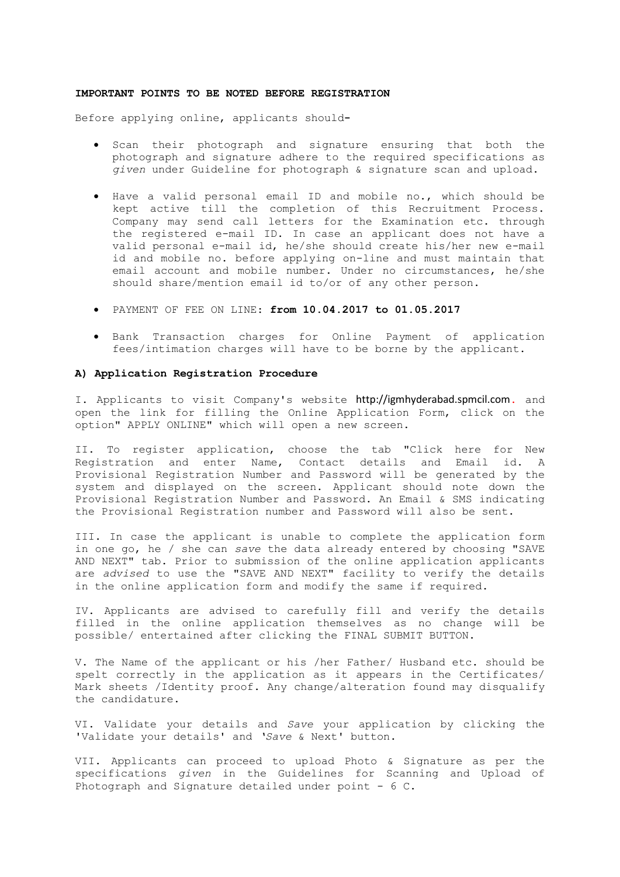#### **IMPORTANT POINTS TO BE NOTED BEFORE REGISTRATION**

Before applying online, applicants should**-**

- Scan their photograph and signature ensuring that both the photograph and signature adhere to the required specifications as *given* under Guideline for photograph & signature scan and upload.
- Have a valid personal email ID and mobile no., which should be kept active till the completion of this Recruitment Process. Company may send call letters for the Examination etc. through the registered e-mail ID. In case an applicant does not have a valid personal e-mail id, he/she should create his/her new e-mail id and mobile no. before applying on-line and must maintain that email account and mobile number. Under no circumstances, he/she should share/mention email id to/or of any other person.
- PAYMENT OF FEE ON LINE: **from 10.04.2017 to 01.05.2017**
- Bank Transaction charges for Online Payment of application fees/intimation charges will have to be borne by the applicant.

#### **A) Application Registration Procedure**

I. Applicants to visit Company's website http://igmhyderabad.spmcil.com**.** and open the link for filling the Online Application Form, click on the option" APPLY ONLINE" which will open a new screen.

II. To register application, choose the tab "Click here for New Registration and enter Name, Contact details and Email id. A Provisional Registration Number and Password will be generated by the system and displayed on the screen. Applicant should note down the Provisional Registration Number and Password. An Email & SMS indicating the Provisional Registration number and Password will also be sent.

III. In case the applicant is unable to complete the application form in one go, he / she can *save* the data already entered by choosing "SAVE AND NEXT" tab. Prior to submission of the online application applicants are *advised* to use the "SAVE AND NEXT" facility to verify the details in the online application form and modify the same if required.

IV. Applicants are advised to carefully fill and verify the details filled in the online application themselves as no change will be possible/ entertained after clicking the FINAL SUBMIT BUTTON.

V. The Name of the applicant or his /her Father/ Husband etc. should be spelt correctly in the application as it appears in the Certificates/ Mark sheets /Identity proof. Any change/alteration found may disqualify the candidature.

VI. Validate your details and *Save* your application by clicking the 'Validate your details' and *'Save* & Next' button.

VII. Applicants can proceed to upload Photo & Signature as per the specifications *given* in the Guidelines for Scanning and Upload of Photograph and Signature detailed under point - 6 C.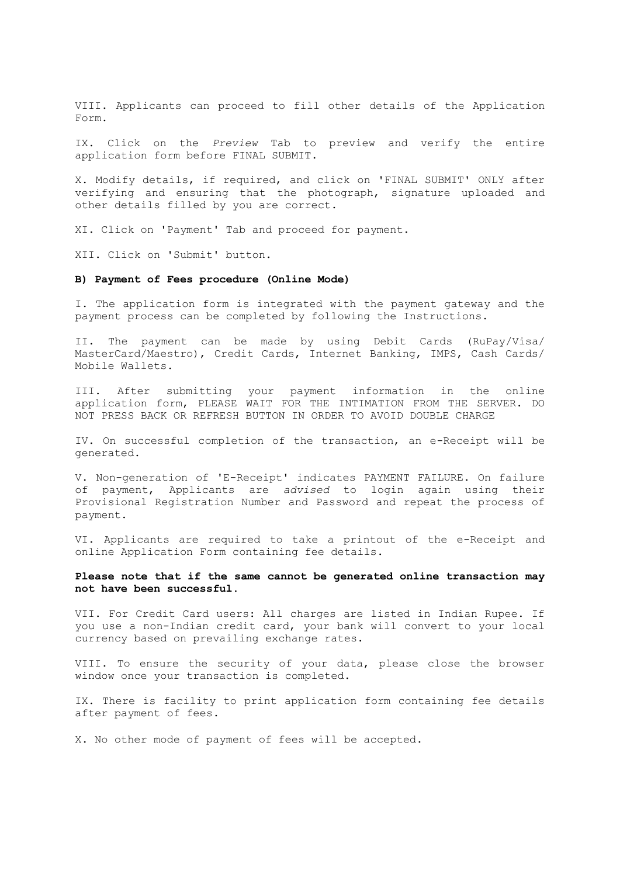VIII. Applicants can proceed to fill other details of the Application Form.

IX. Click on the *Preview* Tab to preview and verify the entire application form before FINAL SUBMIT.

X. Modify details, if required, and click on 'FINAL SUBMIT' ONLY after verifying and ensuring that the photograph, signature uploaded and other details filled by you are correct.

XI. Click on 'Payment' Tab and proceed for payment.

XII. Click on 'Submit' button.

## **B) Payment of Fees procedure (Online Mode)**

I. The application form is integrated with the payment gateway and the payment process can be completed by following the Instructions.

II. The payment can be made by using Debit Cards (RuPay/Visa/ MasterCard/Maestro), Credit Cards, Internet Banking, IMPS, Cash Cards/ Mobile Wallets.

III. After submitting your payment information in the online application form, PLEASE WAIT FOR THE INTIMATION FROM THE SERVER. DO NOT PRESS BACK OR REFRESH BUTTON IN ORDER TO AVOID DOUBLE CHARGE

IV. On successful completion of the transaction, an e-Receipt will be generated.

V. Non-generation of 'E-Receipt' indicates PAYMENT FAILURE. On failure of payment, Applicants are *advised* to login again using their Provisional Registration Number and Password and repeat the process of payment.

VI. Applicants are required to take a printout of the e-Receipt and online Application Form containing fee details.

## **Please note that if the same cannot be generated online transaction may not have been successful**.

VII. For Credit Card users: All charges are listed in Indian Rupee. If you use a non-Indian credit card, your bank will convert to your local currency based on prevailing exchange rates.

VIII. To ensure the security of your data, please close the browser window once your transaction is completed.

IX. There is facility to print application form containing fee details after payment of fees.

X. No other mode of payment of fees will be accepted.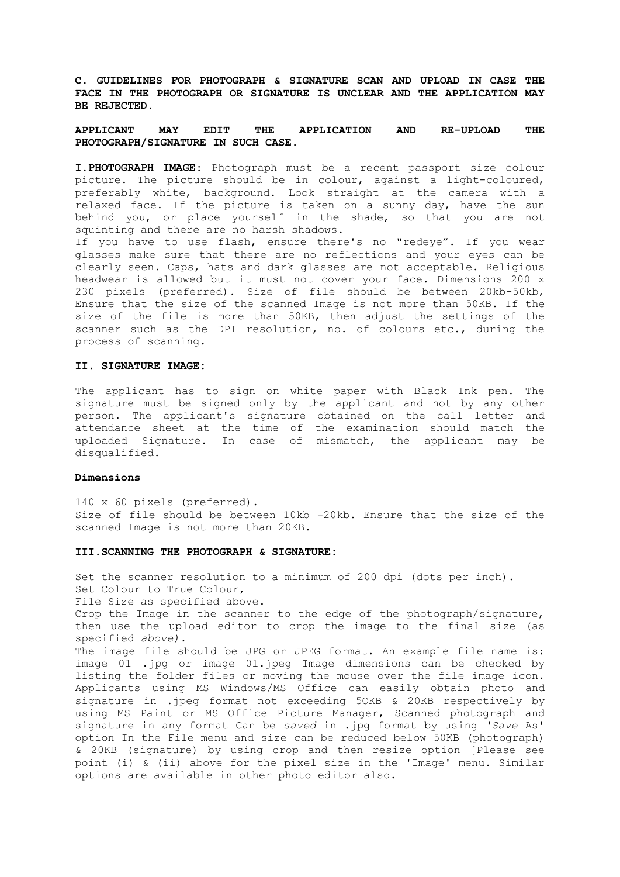**C. GUIDELINES FOR PHOTOGRAPH & SIGNATURE SCAN AND UPLOAD IN CASE THE FACE IN THE PHOTOGRAPH OR SIGNATURE IS UNCLEAR AND THE APPLICATION MAY BE REJECTED.**

## **APPLICANT MAY EDIT THE APPLICATION AND RE-UPLOAD THE PHOTOGRAPH/SIGNATURE IN SUCH CASE**.

**I.PHOTOGRAPH IMAGE**: Photograph must be a recent passport size colour picture. The picture should be in colour, against a light-coloured, preferably white, background. Look straight at the camera with a relaxed face. If the picture is taken on a sunny day, have the sun behind you, or place yourself in the shade, so that you are not squinting and there are no harsh shadows.

If you have to use flash, ensure there's no "redeye". If you wear glasses make sure that there are no reflections and your eyes can be clearly seen. Caps, hats and dark glasses are not acceptable. Religious headwear is allowed but it must not cover your face. Dimensions 200 x 230 pixels (preferred). Size of file should be between 20kb-50kb, Ensure that the size of the scanned Image is not more than 50KB. If the size of the file is more than 50KB, then adjust the settings of the scanner such as the DPI resolution, no. of colours etc., during the process of scanning.

#### **II. SIGNATURE IMAGE:**

The applicant has to sign on white paper with Black Ink pen. The signature must be signed only by the applicant and not by any other person. The applicant's signature obtained on the call letter and attendance sheet at the time of the examination should match the uploaded Signature. In case of mismatch, the applicant may be disqualified.

## **Dimensions**

140 x 60 pixels (preferred). Size of file should be between 10kb -20kb. Ensure that the size of the scanned Image is not more than 20KB.

#### **III.SCANNING THE PHOTOGRAPH & SIGNATURE:**

Set the scanner resolution to a minimum of 200 dpi (dots per inch). Set Colour to True Colour, File Size as specified above. Crop the Image in the scanner to the edge of the photograph/signature, then use the upload editor to crop the image to the final size (as specified *above).*  The image file should be JPG or JPEG format. An example file name is: image 0l .jpg or image 0l.jpeg Image dimensions can be checked by listing the folder files or moving the mouse over the file image icon. Applicants using MS Windows/MS Office can easily obtain photo and signature in .jpeg format not exceeding 5OKB & 20KB respectively by using MS Paint or MS Office Picture Manager, Scanned photograph and signature in any format Can be *saved* in .jpg format by using *'Save* As' option In the File menu and size can be reduced below 50KB (photograph) & 20KB (signature) by using crop and then resize option [Please see point (i) & (ii) above for the pixel size in the 'Image' menu. Similar options are available in other photo editor also.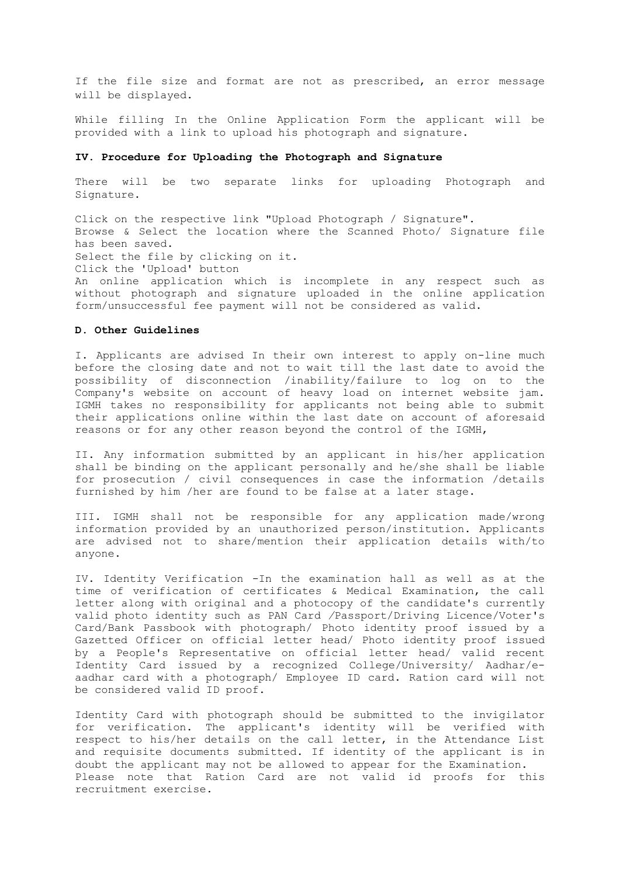If the file size and format are not as prescribed, an error message will be displayed.

While filling In the Online Application Form the applicant will be provided with a link to upload his photograph and signature.

## **IV. Procedure for Uploading the Photograph and Signature**

There will be two separate links for uploading Photograph and Signature.

Click on the respective link "Upload Photograph / Signature". Browse & Select the location where the Scanned Photo/ Signature file has been saved. Select the file by clicking on it. Click the 'Upload' button An online application which is incomplete in any respect such as without photograph and signature uploaded in the online application form/unsuccessful fee payment will not be considered as valid.

#### **D. Other Guidelines**

I. Applicants are advised In their own interest to apply on-line much before the closing date and not to wait till the last date to avoid the possibility of disconnection /inability/failure to log on to the Company's website on account of heavy load on internet website jam. IGMH takes no responsibility for applicants not being able to submit their applications online within the last date on account of aforesaid reasons or for any other reason beyond the control of the IGMH,

II. Any information submitted by an applicant in his/her application shall be binding on the applicant personally and he/she shall be liable for prosecution / civil consequences in case the information /details furnished by him /her are found to be false at a later stage.

III. IGMH shall not be responsible for any application made/wrong information provided by an unauthorized person/institution. Applicants are advised not to share/mention their application details with/to anyone.

IV. Identity Verification -In the examination hall as well as at the time of verification of certificates & Medical Examination, the call letter along with original and a photocopy of the candidate's currently valid photo identity such as PAN Card */*Passport/Driving Licence/Voter's Card/Bank Passbook with photograph/ Photo identity proof issued by a Gazetted Officer on official letter head/ Photo identity proof issued by a People's Representative on official letter head/ valid recent Identity Card issued by a recognized College/University/ Aadhar/eaadhar card with a photograph/ Employee ID card. Ration card will not be considered valid ID proof.

Identity Card with photograph should be submitted to the invigilator for verification. The applicant's identity will be verified with respect to his/her details on the call letter, in the Attendance List and requisite documents submitted. If identity of the applicant is in doubt the applicant may not be allowed to appear for the Examination. Please note that Ration Card are not valid id proofs for this recruitment exercise.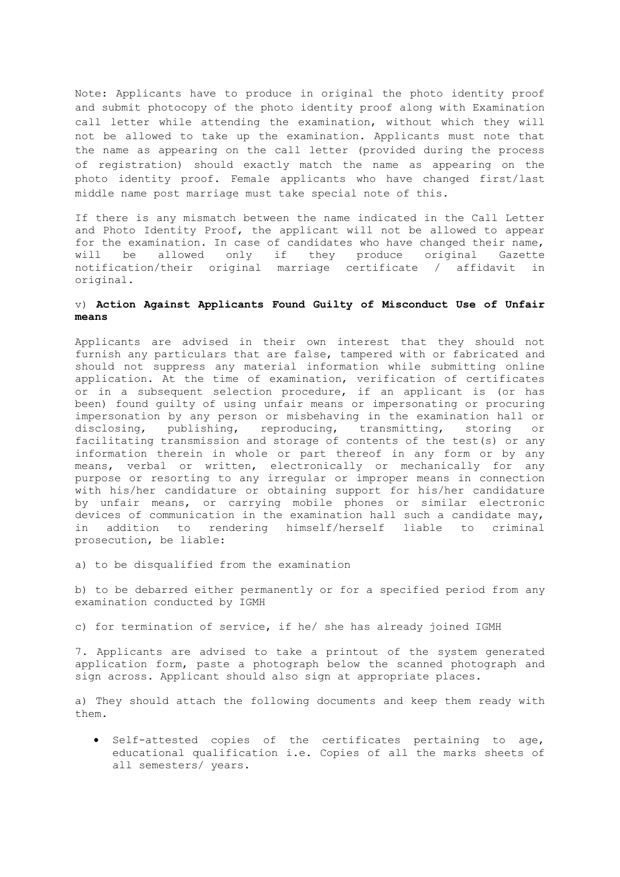Note: Applicants have to produce in original the photo identity proof and submit photocopy of the photo identity proof along with Examination call letter while attending the examination, without which they will not be allowed to take up the examination. Applicants must note that the name as appearing on the call letter (provided during the process of registration) should exactly match the name as appearing on the photo identity proof. Female applicants who have changed first/last middle name post marriage must take special note of this.

If there is any mismatch between the name indicated in the Call Letter and Photo Identity Proof, the applicant will not be allowed to appear for the examination. In case of candidates who have changed their name, will be allowed only if they produce original Gazette notification/their original marriage certificate / affidavit in original.

## v) **Action Against Applicants Found Guilty of Misconduct Use of Unfair means**

Applicants are advised in their own interest that they should not furnish any particulars that are false, tampered with or fabricated and should not suppress any material information while submitting online application. At the time of examination, verification of certificates or in a subsequent selection procedure, if an applicant is (or has been) found guilty of using unfair means or impersonating or procuring impersonation by any person or misbehaving in the examination hall or disclosing, publishing, reproducing, transmitting, storing or facilitating transmission and storage of contents of the test(s) or any information therein in whole or part thereof in any form or by any means, verbal or written, electronically or mechanically for any purpose or resorting to any irregular or improper means in connection with his/her candidature or obtaining support for his/her candidature by unfair means, or carrying mobile phones or similar electronic devices of communication in the examination hall such a candidate may, in addition to rendering himself/herself liable to criminal prosecution, be liable:

a) to be disqualified from the examination

b) to be debarred either permanently or for a specified period from any examination conducted by IGMH

c) for termination of service, if he/ she has already joined IGMH

7. Applicants are advised to take a printout of the system generated application form, paste a photograph below the scanned photograph and sign across. Applicant should also sign at appropriate places.

a) They should attach the following documents and keep them ready with them.

 Self-attested copies of the certificates pertaining to age, educational qualification i.e. Copies of all the marks sheets of all semesters/ years.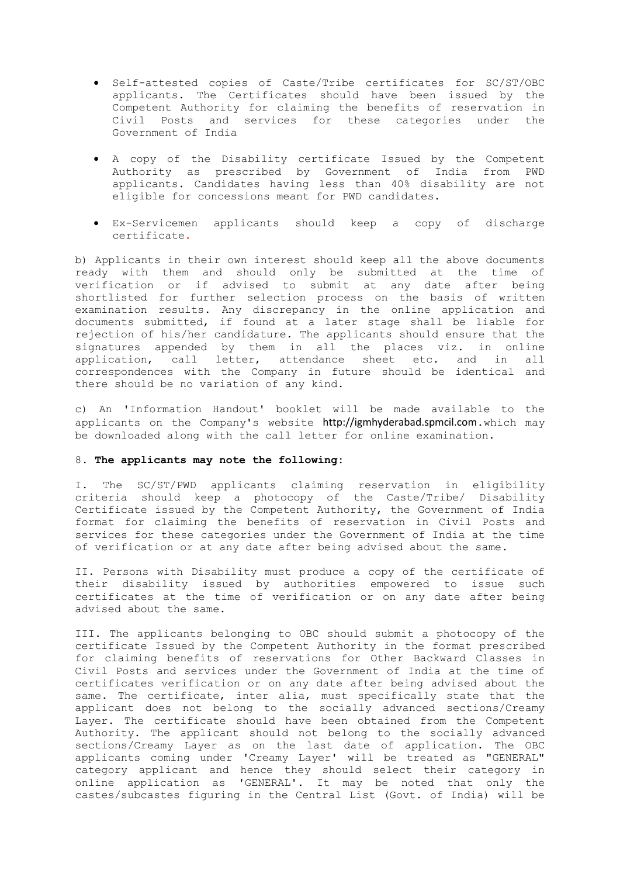- Self-attested copies of Caste/Tribe certificates for SC/ST/OBC applicants. The Certificates should have been issued by the Competent Authority for claiming the benefits of reservation in Civil Posts and services for these categories under the Government of India
- A copy of the Disability certificate Issued by the Competent Authority as prescribed by Government of India from PWD applicants. Candidates having less than 40% disability are not eligible for concessions meant for PWD candidates.
- Ex-Servicemen applicants should keep a copy of discharge certificate.

b) Applicants in their own interest should keep all the above documents ready with them and should only be submitted at the time of verification or if advised to submit at any date after being shortlisted for further selection process on the basis of written examination results. Any discrepancy in the online application and documents submitted, if found at a later stage shall be liable for rejection of his/her candidature. The applicants should ensure that the signatures appended by them in all the places viz. in online application, call letter, attendance sheet etc. and in all correspondences with the Company in future should be identical and there should be no variation of any kind.

c) An 'Information Handout' booklet will be made available to the applicants on the Company's website http://igmhyderabad.spmcil.com**.**which may be downloaded along with the call letter for online examination.

### 8. **The applicants may note the following:**

I. The SC/ST/PWD applicants claiming reservation in eligibility criteria should keep a photocopy of the Caste/Tribe/ Disability Certificate issued by the Competent Authority, the Government of India format for claiming the benefits of reservation in Civil Posts and services for these categories under the Government of India at the time of verification or at any date after being advised about the same.

II. Persons with Disability must produce a copy of the certificate of their disability issued by authorities empowered to issue such certificates at the time of verification or on any date after being advised about the same.

III. The applicants belonging to OBC should submit a photocopy of the certificate Issued by the Competent Authority in the format prescribed for claiming benefits of reservations for Other Backward Classes in Civil Posts and services under the Government of India at the time of certificates verification or on any date after being advised about the same. The certificate, inter alia, must specifically state that the applicant does not belong to the socially advanced sections/Creamy Layer. The certificate should have been obtained from the Competent Authority. The applicant should not belong to the socially advanced sections/Creamy Layer as on the last date of application. The OBC applicants coming under 'Creamy Layer' will be treated as "GENERAL" category applicant and hence they should select their category in online application as 'GENERAL'. It may be noted that only the castes/subcastes figuring in the Central List (Govt. of India) will be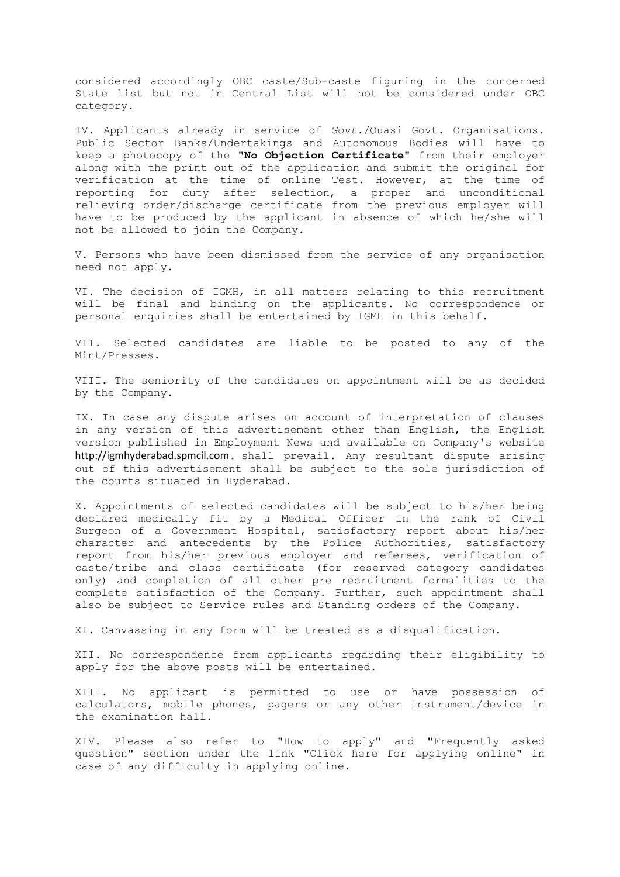considered accordingly OBC caste/Sub-caste figuring in the concerned State list but not in Central List will not be considered under OBC category.

IV. Applicants already in service of *Govt.*/Quasi Govt. Organisations. Public Sector Banks/Undertakings and Autonomous Bodies will have to keep a photocopy of the **"No Objection Certificate"** from their employer along with the print out of the application and submit the original for verification at the time of online Test. However, at the time of reporting for duty after selection, a proper and unconditional relieving order/discharge certificate from the previous employer will have to be produced by the applicant in absence of which he/she will not be allowed to join the Company.

V. Persons who have been dismissed from the service of any organisation need not apply.

VI. The decision of IGMH, in all matters relating to this recruitment will be final and binding on the applicants. No correspondence or personal enquiries shall be entertained by IGMH in this behalf.

VII. Selected candidates are liable to be posted to any of the Mint/Presses.

VIII. The seniority of the candidates on appointment will be as decided by the Company.

IX. In case any dispute arises on account of interpretation of clauses in any version of this advertisement other than English, the English version published in Employment News and available on Company's website http://igmhyderabad.spmcil.com**.** shall prevail. Any resultant dispute arising out of this advertisement shall be subject to the sole jurisdiction of the courts situated in Hyderabad.

X. Appointments of selected candidates will be subject to his/her being declared medically fit by a Medical Officer in the rank of Civil Surgeon of a Government Hospital, satisfactory report about his/her character and antecedents by the Police Authorities, satisfactory report from his/her previous employer and referees, verification of caste/tribe and class certificate (for reserved category candidates only) and completion of all other pre recruitment formalities to the complete satisfaction of the Company. Further, such appointment shall also be subject to Service rules and Standing orders of the Company.

XI. Canvassing in any form will be treated as a disqualification.

XII. No correspondence from applicants regarding their eligibility to apply for the above posts will be entertained.

XIII. No applicant is permitted to use or have possession of calculators, mobile phones, pagers or any other instrument/device in the examination hall.

XIV. Please also refer to "How to apply" and "Frequently asked question" section under the link "Click here for applying online" in case of any difficulty in applying online.